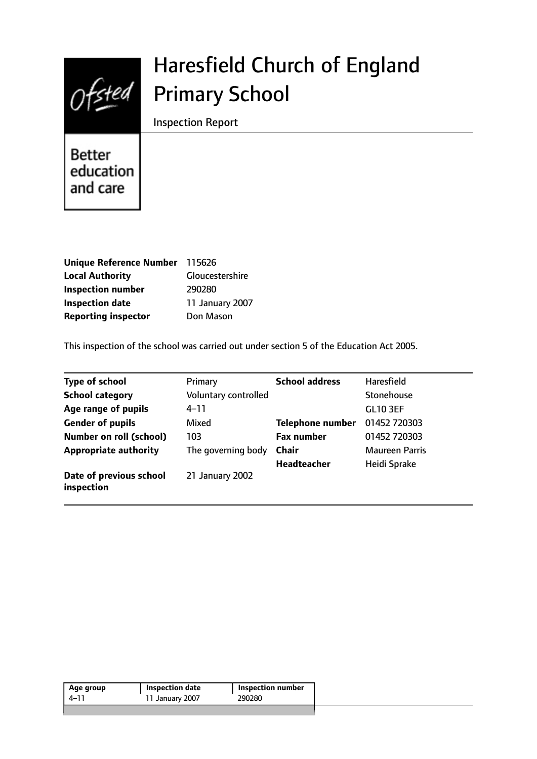

# Haresfield Church of England Primary School

Inspection Report

Better education and care

| Unique Reference Number 115626 |                 |
|--------------------------------|-----------------|
| <b>Local Authority</b>         | Gloucestershire |
| <b>Inspection number</b>       | 290280          |
| <b>Inspection date</b>         | 11 January 2007 |
| <b>Reporting inspector</b>     | Don Mason       |

This inspection of the school was carried out under section 5 of the Education Act 2005.

| <b>Type of school</b>                 | Primary              | <b>School address</b> | <b>Haresfield</b>     |
|---------------------------------------|----------------------|-----------------------|-----------------------|
| <b>School category</b>                | Voluntary controlled |                       | Stonehouse            |
| Age range of pupils                   | $4 - 11$             |                       | <b>GL10 3EF</b>       |
| <b>Gender of pupils</b>               | Mixed                | Telephone number      | 01452 720303          |
| Number on roll (school)               | 103                  | <b>Fax number</b>     | 01452 720303          |
| <b>Appropriate authority</b>          | The governing body   | <b>Chair</b>          | <b>Maureen Parris</b> |
|                                       |                      | Headteacher           | Heidi Sprake          |
| Date of previous school<br>inspection | 21 January 2002      |                       |                       |

| 4–11 | <b>Inspection number</b> | <b>Inspection date</b> | Age group |
|------|--------------------------|------------------------|-----------|
|      | 290280                   | 11 January 2007        |           |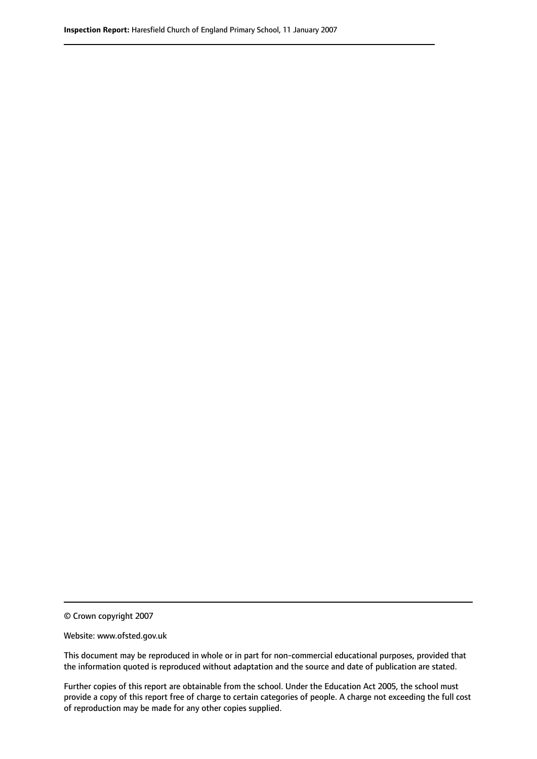© Crown copyright 2007

Website: www.ofsted.gov.uk

This document may be reproduced in whole or in part for non-commercial educational purposes, provided that the information quoted is reproduced without adaptation and the source and date of publication are stated.

Further copies of this report are obtainable from the school. Under the Education Act 2005, the school must provide a copy of this report free of charge to certain categories of people. A charge not exceeding the full cost of reproduction may be made for any other copies supplied.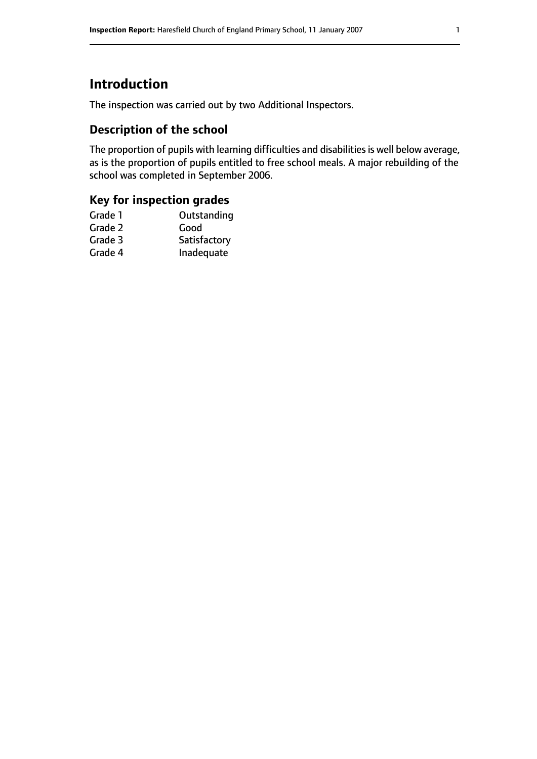# **Introduction**

The inspection was carried out by two Additional Inspectors.

## **Description of the school**

The proportion of pupils with learning difficulties and disabilities is well below average, as is the proportion of pupils entitled to free school meals. A major rebuilding of the school was completed in September 2006.

# **Key for inspection grades**

| Grade 1 | Outstanding  |
|---------|--------------|
| Grade 2 | Good         |
| Grade 3 | Satisfactory |
| Grade 4 | Inadequate   |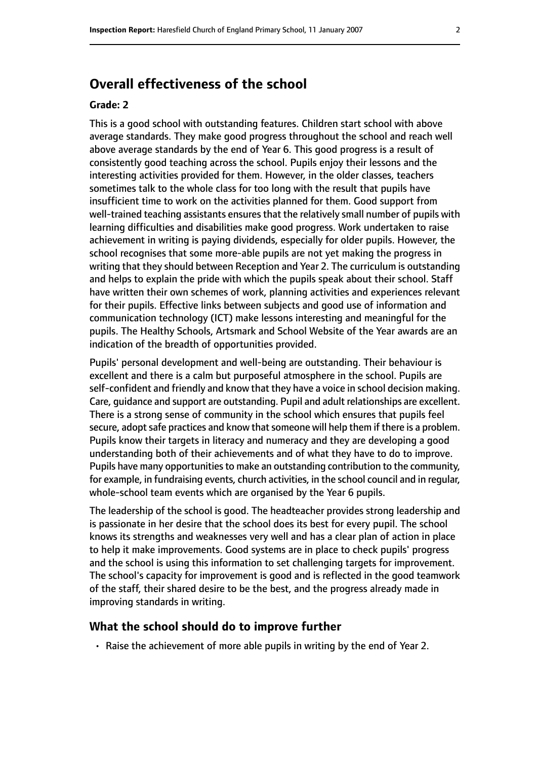# **Overall effectiveness of the school**

#### **Grade: 2**

This is a good school with outstanding features. Children start school with above average standards. They make good progress throughout the school and reach well above average standards by the end of Year 6. This good progress is a result of consistently good teaching across the school. Pupils enjoy their lessons and the interesting activities provided for them. However, in the older classes, teachers sometimes talk to the whole class for too long with the result that pupils have insufficient time to work on the activities planned for them. Good support from well-trained teaching assistants ensures that the relatively small number of pupils with learning difficulties and disabilities make good progress. Work undertaken to raise achievement in writing is paying dividends, especially for older pupils. However, the school recognises that some more-able pupils are not yet making the progress in writing that they should between Reception and Year 2. The curriculum is outstanding and helps to explain the pride with which the pupils speak about their school. Staff have written their own schemes of work, planning activities and experiences relevant for their pupils. Effective links between subjects and good use of information and communication technology (ICT) make lessons interesting and meaningful for the pupils. The Healthy Schools, Artsmark and School Website of the Year awards are an indication of the breadth of opportunities provided.

Pupils' personal development and well-being are outstanding. Their behaviour is excellent and there is a calm but purposeful atmosphere in the school. Pupils are self-confident and friendly and know that they have a voice in school decision making. Care, guidance and support are outstanding. Pupil and adult relationships are excellent. There is a strong sense of community in the school which ensures that pupils feel secure, adopt safe practices and know that someone will help them if there is a problem. Pupils know their targets in literacy and numeracy and they are developing a good understanding both of their achievements and of what they have to do to improve. Pupils have many opportunities to make an outstanding contribution to the community, for example, in fundraising events, church activities, in the school council and in regular, whole-school team events which are organised by the Year 6 pupils.

The leadership of the school is good. The headteacher provides strong leadership and is passionate in her desire that the school does its best for every pupil. The school knows its strengths and weaknesses very well and has a clear plan of action in place to help it make improvements. Good systems are in place to check pupils' progress and the school is using this information to set challenging targets for improvement. The school's capacity for improvement is good and is reflected in the good teamwork of the staff, their shared desire to be the best, and the progress already made in improving standards in writing.

#### **What the school should do to improve further**

• Raise the achievement of more able pupils in writing by the end of Year 2.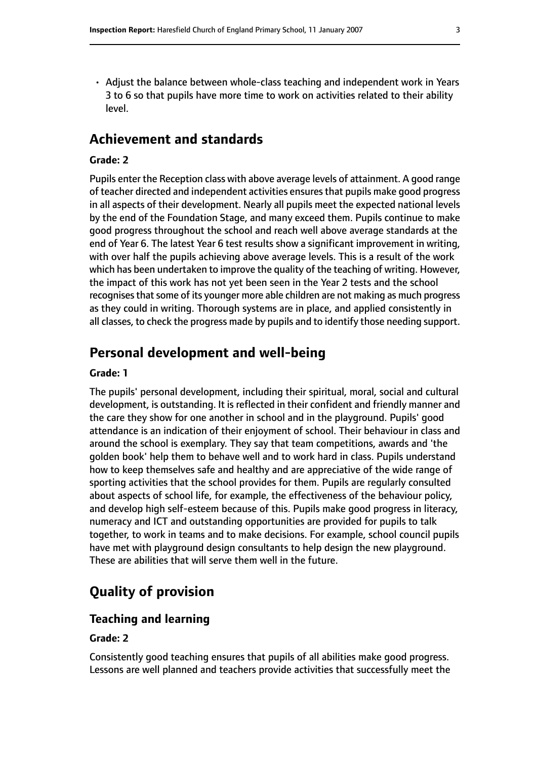- 
- Adjust the balance between whole-class teaching and independent work in Years 3 to 6 so that pupils have more time to work on activities related to their ability level.

## **Achievement and standards**

#### **Grade: 2**

Pupils enter the Reception class with above average levels of attainment. A good range of teacher directed and independent activities ensures that pupils make good progress in all aspects of their development. Nearly all pupils meet the expected national levels by the end of the Foundation Stage, and many exceed them. Pupils continue to make good progress throughout the school and reach well above average standards at the end of Year 6. The latest Year 6 test results show a significant improvement in writing, with over half the pupils achieving above average levels. This is a result of the work which has been undertaken to improve the quality of the teaching of writing. However, the impact of this work has not yet been seen in the Year 2 tests and the school recognises that some of its younger more able children are not making as much progress as they could in writing. Thorough systems are in place, and applied consistently in all classes, to check the progress made by pupils and to identify those needing support.

# **Personal development and well-being**

#### **Grade: 1**

The pupils' personal development, including their spiritual, moral, social and cultural development, is outstanding. It is reflected in their confident and friendly manner and the care they show for one another in school and in the playground. Pupils' good attendance is an indication of their enjoyment of school. Their behaviour in class and around the school is exemplary. They say that team competitions, awards and 'the golden book' help them to behave well and to work hard in class. Pupils understand how to keep themselves safe and healthy and are appreciative of the wide range of sporting activities that the school provides for them. Pupils are regularly consulted about aspects of school life, for example, the effectiveness of the behaviour policy, and develop high self-esteem because of this. Pupils make good progress in literacy, numeracy and ICT and outstanding opportunities are provided for pupils to talk together, to work in teams and to make decisions. For example, school council pupils have met with playground design consultants to help design the new playground. These are abilities that will serve them well in the future.

# **Quality of provision**

#### **Teaching and learning**

#### **Grade: 2**

Consistently good teaching ensures that pupils of all abilities make good progress. Lessons are well planned and teachers provide activities that successfully meet the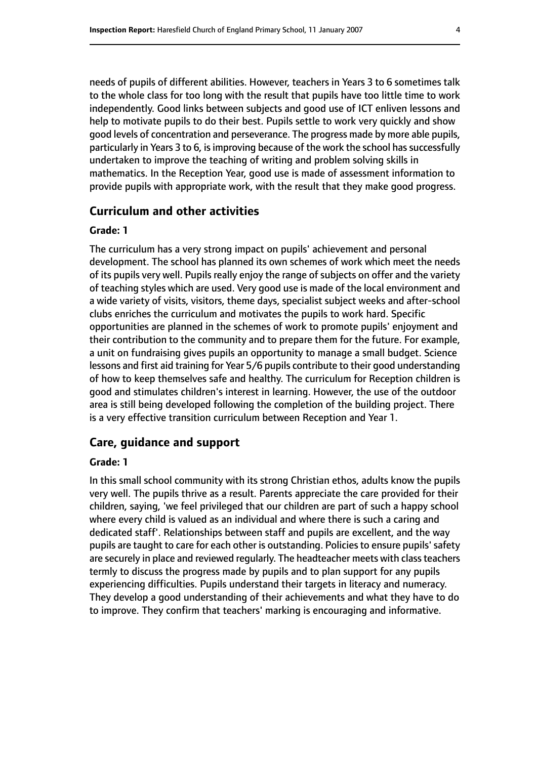needs of pupils of different abilities. However, teachers in Years 3 to 6 sometimes talk to the whole class for too long with the result that pupils have too little time to work independently. Good links between subjects and good use of ICT enliven lessons and help to motivate pupils to do their best. Pupils settle to work very quickly and show good levels of concentration and perseverance. The progress made by more able pupils, particularly in Years 3 to 6, is improving because of the work the school has successfully undertaken to improve the teaching of writing and problem solving skills in mathematics. In the Reception Year, good use is made of assessment information to provide pupils with appropriate work, with the result that they make good progress.

#### **Curriculum and other activities**

#### **Grade: 1**

The curriculum has a very strong impact on pupils' achievement and personal development. The school has planned its own schemes of work which meet the needs of its pupils very well. Pupils really enjoy the range of subjects on offer and the variety of teaching styles which are used. Very good use is made of the local environment and a wide variety of visits, visitors, theme days, specialist subject weeks and after-school clubs enriches the curriculum and motivates the pupils to work hard. Specific opportunities are planned in the schemes of work to promote pupils' enjoyment and their contribution to the community and to prepare them for the future. For example, a unit on fundraising gives pupils an opportunity to manage a small budget. Science lessons and first aid training for Year 5/6 pupils contribute to their good understanding of how to keep themselves safe and healthy. The curriculum for Reception children is good and stimulates children's interest in learning. However, the use of the outdoor area is still being developed following the completion of the building project. There is a very effective transition curriculum between Reception and Year 1.

#### **Care, guidance and support**

#### **Grade: 1**

In this small school community with its strong Christian ethos, adults know the pupils very well. The pupils thrive as a result. Parents appreciate the care provided for their children, saying, 'we feel privileged that our children are part of such a happy school where every child is valued as an individual and where there is such a caring and dedicated staff'. Relationships between staff and pupils are excellent, and the way pupils are taught to care for each other is outstanding. Policies to ensure pupils' safety are securely in place and reviewed regularly. The headteacher meets with class teachers termly to discuss the progress made by pupils and to plan support for any pupils experiencing difficulties. Pupils understand their targets in literacy and numeracy. They develop a good understanding of their achievements and what they have to do to improve. They confirm that teachers' marking is encouraging and informative.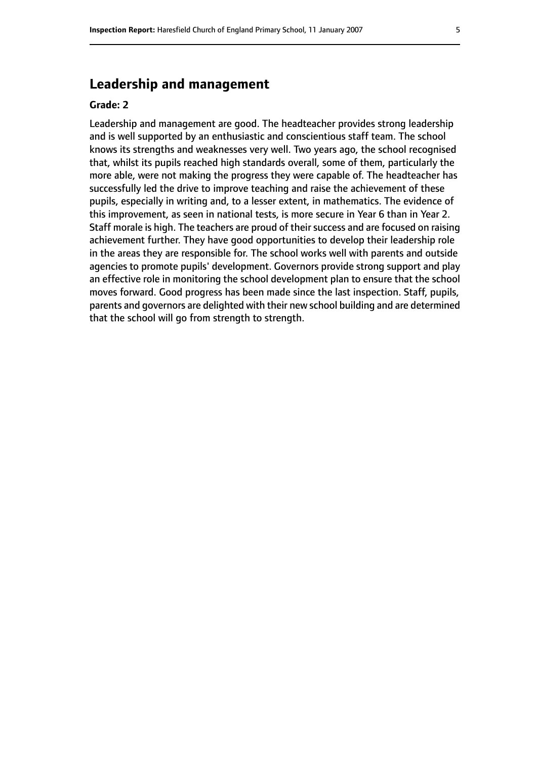# **Leadership and management**

#### **Grade: 2**

Leadership and management are good. The headteacher provides strong leadership and is well supported by an enthusiastic and conscientious staff team. The school knows its strengths and weaknesses very well. Two years ago, the school recognised that, whilst its pupils reached high standards overall, some of them, particularly the more able, were not making the progress they were capable of. The headteacher has successfully led the drive to improve teaching and raise the achievement of these pupils, especially in writing and, to a lesser extent, in mathematics. The evidence of this improvement, as seen in national tests, is more secure in Year 6 than in Year 2. Staff morale is high. The teachers are proud of their success and are focused on raising achievement further. They have good opportunities to develop their leadership role in the areas they are responsible for. The school works well with parents and outside agencies to promote pupils' development. Governors provide strong support and play an effective role in monitoring the school development plan to ensure that the school moves forward. Good progress has been made since the last inspection. Staff, pupils, parents and governors are delighted with their new school building and are determined that the school will go from strength to strength.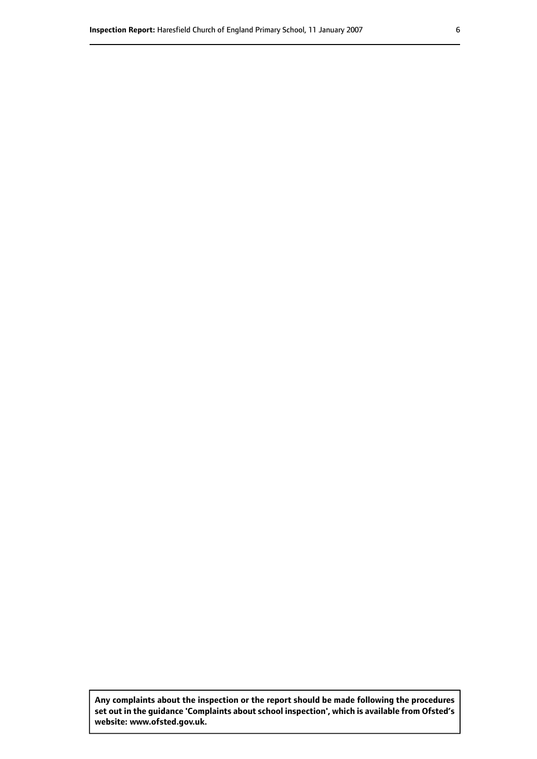**Any complaints about the inspection or the report should be made following the procedures set out inthe guidance 'Complaints about school inspection', whichis available from Ofsted's website: www.ofsted.gov.uk.**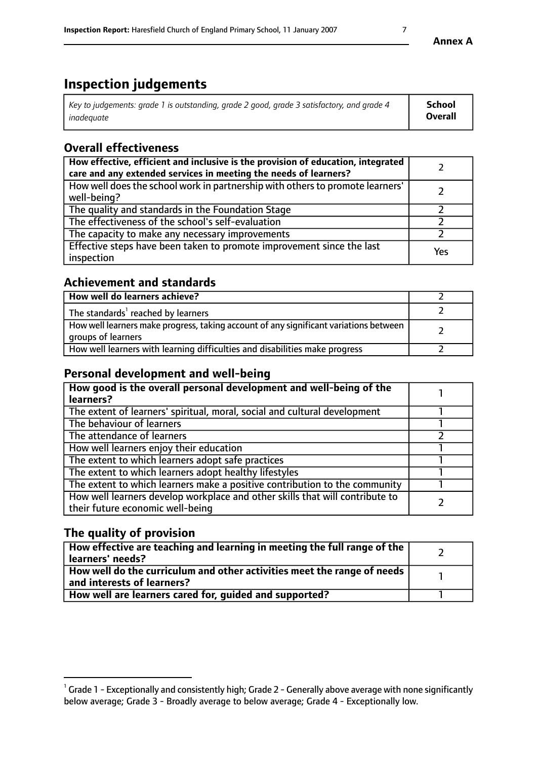# **Inspection judgements**

| Key to judgements: grade 1 is outstanding, grade 2 good, grade 3 satisfactory, and grade 4 | School         |
|--------------------------------------------------------------------------------------------|----------------|
| inadeauate                                                                                 | <b>Overall</b> |

# **Overall effectiveness**

| How effective, efficient and inclusive is the provision of education, integrated<br>care and any extended services in meeting the needs of learners? |     |
|------------------------------------------------------------------------------------------------------------------------------------------------------|-----|
| How well does the school work in partnership with others to promote learners'<br>well-being?                                                         |     |
| The quality and standards in the Foundation Stage                                                                                                    |     |
| The effectiveness of the school's self-evaluation                                                                                                    |     |
| The capacity to make any necessary improvements                                                                                                      |     |
| Effective steps have been taken to promote improvement since the last<br>inspection                                                                  | Yes |

# **Achievement and standards**

| How well do learners achieve?                                                                               |  |
|-------------------------------------------------------------------------------------------------------------|--|
| The standards <sup>1</sup> reached by learners                                                              |  |
| How well learners make progress, taking account of any significant variations between<br>groups of learners |  |
| How well learners with learning difficulties and disabilities make progress                                 |  |

# **Personal development and well-being**

| How good is the overall personal development and well-being of the<br>learners?                                  |  |
|------------------------------------------------------------------------------------------------------------------|--|
| The extent of learners' spiritual, moral, social and cultural development                                        |  |
| The behaviour of learners                                                                                        |  |
| The attendance of learners                                                                                       |  |
| How well learners enjoy their education                                                                          |  |
| The extent to which learners adopt safe practices                                                                |  |
| The extent to which learners adopt healthy lifestyles                                                            |  |
| The extent to which learners make a positive contribution to the community                                       |  |
| How well learners develop workplace and other skills that will contribute to<br>their future economic well-being |  |

# **The quality of provision**

| How effective are teaching and learning in meeting the full range of the<br>learners' needs?          |  |
|-------------------------------------------------------------------------------------------------------|--|
| How well do the curriculum and other activities meet the range of needs<br>and interests of learners? |  |
| How well are learners cared for, quided and supported?                                                |  |

 $^1$  Grade 1 - Exceptionally and consistently high; Grade 2 - Generally above average with none significantly below average; Grade 3 - Broadly average to below average; Grade 4 - Exceptionally low.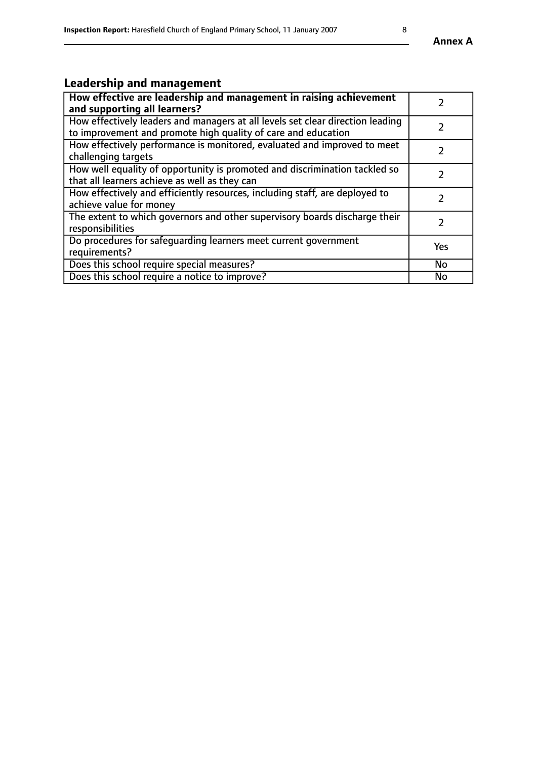# **Leadership and management**

| How effective are leadership and management in raising achievement<br>and supporting all learners?                                              |               |
|-------------------------------------------------------------------------------------------------------------------------------------------------|---------------|
| How effectively leaders and managers at all levels set clear direction leading<br>to improvement and promote high quality of care and education |               |
| How effectively performance is monitored, evaluated and improved to meet<br>challenging targets                                                 |               |
| How well equality of opportunity is promoted and discrimination tackled so<br>that all learners achieve as well as they can                     |               |
| How effectively and efficiently resources, including staff, are deployed to<br>achieve value for money                                          | $\mathcal{P}$ |
| The extent to which governors and other supervisory boards discharge their<br>responsibilities                                                  |               |
| Do procedures for safeguarding learners meet current government<br>requirements?                                                                | Yes           |
| Does this school require special measures?                                                                                                      | <b>No</b>     |
| Does this school require a notice to improve?                                                                                                   | <b>No</b>     |